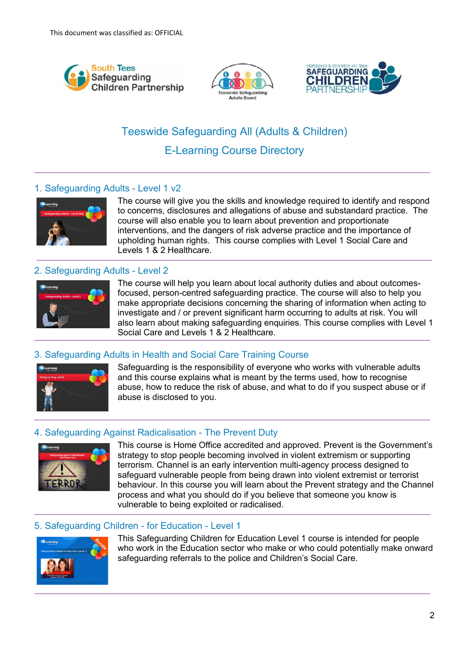





# Teeswide Safeguarding All (Adults & Children) E-Learning Course Directory

# 1. Safeguarding Adults - Level 1 v2



The course will give you the skills and knowledge required to identify and respond to concerns, disclosures and allegations of abuse and substandard practice. The course will also enable you to learn about prevention and proportionate interventions, and the dangers of risk adverse practice and the importance of upholding human rights. This course complies with Level 1 Social Care and Levels 1 & 2 Healthcare.

# 2. Safeguarding Adults - Level 2



The course will help you learn about local authority duties and about outcomesfocused, person-centred safeguarding practice. The course will also to help you make appropriate decisions concerning the sharing of information when acting to investigate and / or prevent significant harm occurring to adults at risk. You will also learn about making safeguarding enquiries. This course complies with Level 1 Social Care and Levels 1 & 2 Healthcare.

# 3. Safeguarding Adults in Health and Social Care Training Course



Safeguarding is the responsibility of everyone who works with vulnerable adults and this course explains what is meant by the terms used, how to recognise abuse, how to reduce the risk of abuse, and what to do if you suspect abuse or if abuse is disclosed to you.

## 4. Safeguarding Against Radicalisation - The Prevent Duty



This course is Home Office accredited and approved. Prevent is the Government's strategy to stop people becoming involved in violent extremism or supporting terrorism. Channel is an early intervention multi-agency process designed to safeguard vulnerable people from being drawn into violent extremist or terrorist behaviour. In this course you will learn about the Prevent strategy and the Channel process and what you should do if you believe that someone you know is vulnerable to being exploited or radicalised.

## 5. Safeguarding Children - for Education - Level 1



This Safeguarding Children for Education Level 1 course is intended for people who work in the Education sector who make or who could potentially make onward safeguarding referrals to the police and Children's Social Care.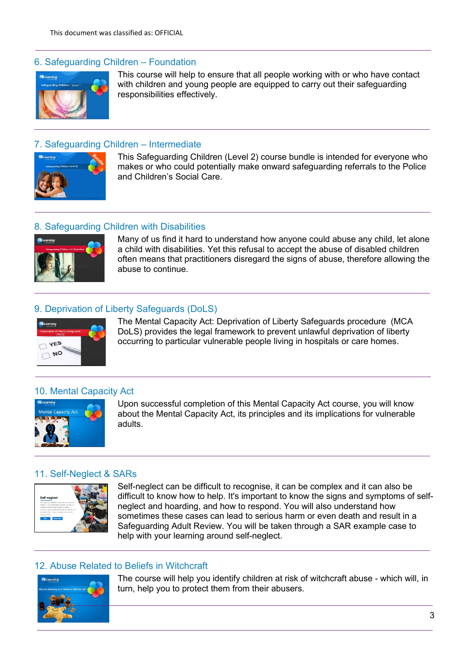## 6. Safeguarding Children – Foundation



This course will help to ensure that all people working with or who have contact with children and young people are equipped to carry out their safeguarding responsibilities effectively.

## 7. Safeguarding Children – Intermediate



This Safeguarding Children (Level 2) course bundle is intended for everyone who makes or who could potentially make onward safeguarding referrals to the Police and Children's Social Care.

## 8. Safeguarding Children with Disabilities



Many of us find it hard to understand how anyone could abuse any child, let alone a child with disabilities. Yet this refusal to accept the abuse of disabled children often means that practitioners disregard the signs of abuse, therefore allowing the abuse to continue.

## 9. Deprivation of Liberty Safeguards (DoLS)



The Mental Capacity Act: Deprivation of Liberty Safeguards procedure (MCA DoLS) provides the legal framework to prevent unlawful deprivation of liberty occurring to particular vulnerable people living in hospitals or care homes.

#### 10. Mental Capacity Act



Upon successful completion of this Mental Capacity Act course, you will know about the Mental Capacity Act, its principles and its implications for vulnerable adults.

#### 11. Self-Neglect & SARs



Self-neglect can be difficult to recognise, it can be complex and it can also be difficult to know how to help. It's important to know the signs and symptoms of selfneglect and hoarding, and how to respond. You will also understand how sometimes these cases can lead to serious harm or even death and result in a Safeguarding Adult Review. You will be taken through a SAR example case to help with your learning around self-neglect.

## 12. Abuse Related to Beliefs in Witchcraft



The course will help you identify children at risk of witchcraft abuse - which will, in turn, help you to protect them from their abusers.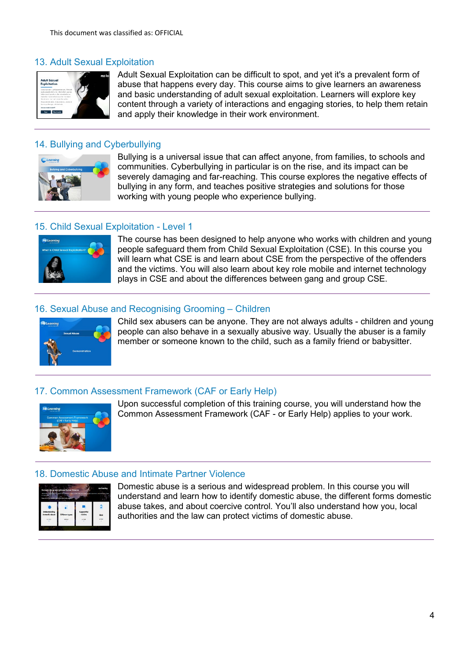# 13. Adult Sexual Exploitation



Adult Sexual Exploitation can be difficult to spot, and yet it's a prevalent form of abuse that happens every day. This course aims to give learners an awareness and basic understanding of adult sexual exploitation. Learners will explore key content through a variety of interactions and engaging stories, to help them retain and apply their knowledge in their work environment.

## 14. Bullying and Cyberbullying



Bullying is a universal issue that can affect anyone, from families, to schools and communities. Cyberbullying in particular is on the rise, and its impact can be severely damaging and far-reaching. This course explores the negative effects of bullying in any form, and teaches positive strategies and solutions for those working with young people who experience bullying.

# 15. Child Sexual Exploitation - Level 1



The course has been designed to help anyone who works with children and young people safeguard them from Child Sexual Exploitation (CSE). In this course you will learn what CSE is and learn about CSE from the perspective of the offenders and the victims. You will also learn about key role mobile and internet technology plays in CSE and about the differences between gang and group CSE.

## 16. Sexual Abuse and Recognising Grooming – Children



Child sex abusers can be anyone. They are not always adults - children and young people can also behave in a sexually abusive way. Usually the abuser is a family member or someone known to the child, such as a family friend or babysitter.

## 17. Common Assessment Framework (CAF or Early Help)



Upon successful completion of this training course, you will understand how the Common Assessment Framework (CAF - or Early Help) applies to your work.

#### 18. Domestic Abuse and Intimate Partner Violence



Domestic abuse is a serious and widespread problem. In this course you will understand and learn how to identify domestic abuse, the different forms domestic abuse takes, and about coercive control. You'll also understand how you, local authorities and the law can protect victims of domestic abuse.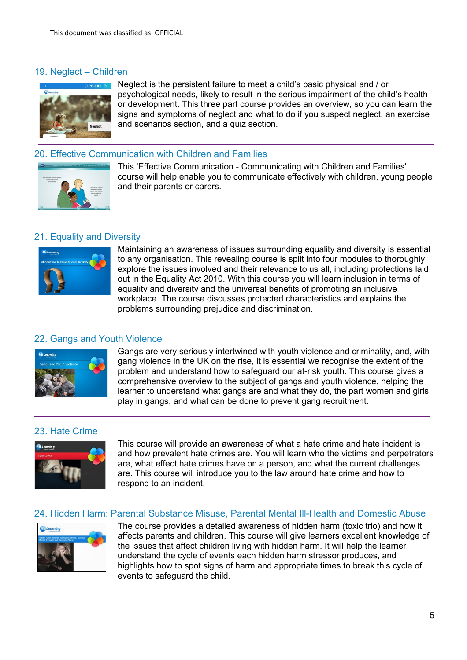## 19. Neglect – Children



Neglect is the persistent failure to meet a child's basic physical and / or psychological needs, likely to result in the serious impairment of the child's health or development. This three part course provides an overview, so you can learn the signs and symptoms of neglect and what to do if you suspect neglect, an exercise and scenarios section, and a quiz section.

## 20. Effective Communication with Children and Families



This 'Effective Communication - Communicating with Children and Families' course will help enable you to communicate effectively with children, young people and their parents or carers.

## 21. Equality and Diversity



Maintaining an awareness of issues surrounding equality and diversity is essential to any organisation. This revealing course is split into four modules to thoroughly explore the issues involved and their relevance to us all, including protections laid out in the Equality Act 2010. With this course you will learn inclusion in terms of equality and diversity and the universal benefits of promoting an inclusive workplace. The course discusses protected characteristics and explains the problems surrounding prejudice and discrimination.

## 22. Gangs and Youth Violence



Gangs are very seriously intertwined with youth violence and criminality, and, with gang violence in the UK on the rise, it is essential we recognise the extent of the problem and understand how to safeguard our at-risk youth. This course gives a comprehensive overview to the subject of gangs and youth violence, helping the learner to understand what gangs are and what they do, the part women and girls play in gangs, and what can be done to prevent gang recruitment.

# 23. Hate Crime



This course will provide an awareness of what a hate crime and hate incident is and how prevalent hate crimes are. You will learn who the victims and perpetrators are, what effect hate crimes have on a person, and what the current challenges are. This course will introduce you to the law around hate crime and how to respond to an incident.

#### 24. Hidden Harm: Parental Substance Misuse, Parental Mental Ill-Health and Domestic Abuse



The course provides a detailed awareness of hidden harm (toxic trio) and how it affects parents and children. This course will give learners excellent knowledge of the issues that affect children living with hidden harm. It will help the learner understand the cycle of events each hidden harm stressor produces, and highlights how to spot signs of harm and appropriate times to break this cycle of events to safeguard the child.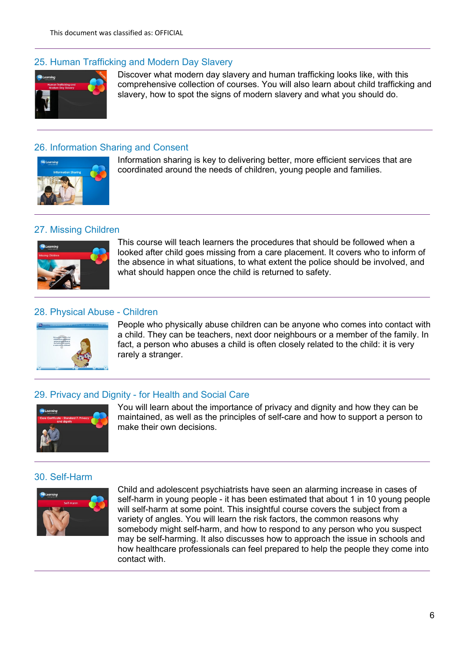## 25. Human Trafficking and Modern Day Slavery



Discover what modern day slavery and human trafficking looks like, with this comprehensive collection of courses. You will also learn about child trafficking and slavery, how to spot the signs of modern slavery and what you should do.

#### 26. Information Sharing and Consent



Information sharing is key to delivering better, more efficient services that are coordinated around the needs of children, young people and families.

#### 27. Missing Children



This course will teach learners the procedures that should be followed when a looked after child goes missing from a care placement. It covers who to inform of the absence in what situations, to what extent the police should be involved, and what should happen once the child is returned to safety.

## 28. Physical Abuse - Children



People who physically abuse children can be anyone who comes into contact with a child. They can be teachers, next door neighbours or a member of the family. In fact, a person who abuses a child is often closely related to the child: it is very rarely a stranger.

#### 29. Privacy and Dignity - for Health and Social Care



You will learn about the importance of privacy and dignity and how they can be maintained, as well as the principles of self-care and how to support a person to make their own decisions.

## 30. Self-Harm



Child and adolescent psychiatrists have seen an alarming increase in cases of self-harm in young people - it has been estimated that about 1 in 10 young people will self-harm at some point. This insightful course covers the subject from a variety of angles. You will learn the risk factors, the common reasons why somebody might self-harm, and how to respond to any person who you suspect may be self-harming. It also discusses how to approach the issue in schools and how healthcare professionals can feel prepared to help the people they come into contact with.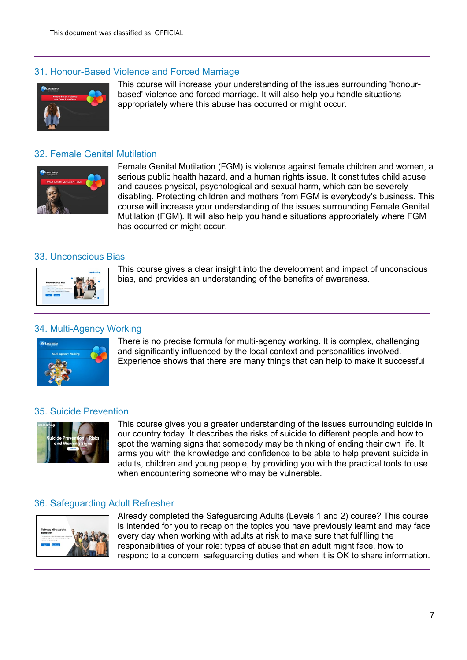## 31. Honour-Based Violence and Forced Marriage



This course will increase your understanding of the issues surrounding 'honourbased' violence and forced marriage. It will also help you handle situations appropriately where this abuse has occurred or might occur.

## 32. Female Genital Mutilation



Female Genital Mutilation (FGM) is violence against female children and women, a serious public health hazard, and a human rights issue. It constitutes child abuse and causes physical, psychological and sexual harm, which can be severely disabling. Protecting children and mothers from FGM is everybody's business. This course will increase your understanding of the issues surrounding Female Genital Mutilation (FGM). It will also help you handle situations appropriately where FGM has occurred or might occur.

#### 33. Unconscious Bias



This course gives a clear insight into the development and impact of unconscious bias, and provides an understanding of the benefits of awareness.

## 34. Multi-Agency Working



There is no precise formula for multi-agency working. It is complex, challenging and significantly influenced by the local context and personalities involved. Experience shows that there are many things that can help to make it successful.

#### 35. Suicide Prevention



This course gives you a greater understanding of the issues surrounding suicide in our country today. It describes the risks of suicide to different people and how to spot the warning signs that somebody may be thinking of ending their own life. It arms you with the knowledge and confidence to be able to help prevent suicide in adults, children and young people, by providing you with the practical tools to use when encountering someone who may be vulnerable.

#### 36. Safeguarding Adult Refresher



Already completed the Safeguarding Adults (Levels 1 and 2) course? This course is intended for you to recap on the topics you have previously learnt and may face every day when working with adults at risk to make sure that fulfilling the responsibilities of your role: types of abuse that an adult might face, how to respond to a concern, safeguarding duties and when it is OK to share information.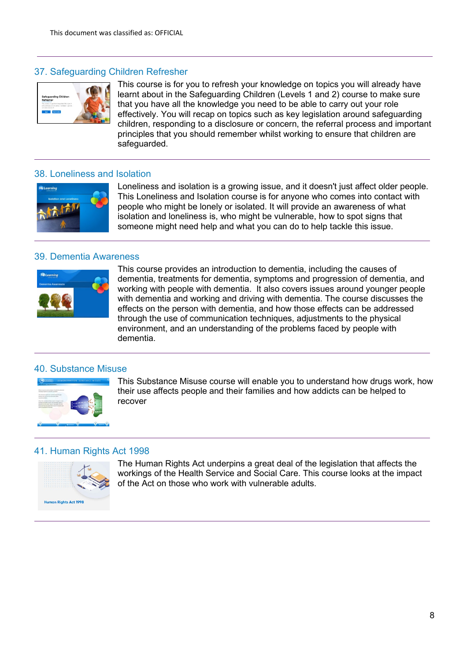## 37. Safeguarding Children Refresher



This course is for you to refresh your knowledge on topics you will already have learnt about in the Safeguarding Children (Levels 1 and 2) course to make sure that you have all the knowledge you need to be able to carry out your role effectively. You will recap on topics such as key legislation around safeguarding children, responding to a disclosure or concern, the referral process and important principles that you should remember whilst working to ensure that children are safeguarded.

#### 38. Loneliness and Isolation



Loneliness and isolation is a growing issue, and it doesn't just affect older people. This Loneliness and Isolation course is for anyone who comes into contact with people who might be lonely or isolated. It will provide an awareness of what isolation and loneliness is, who might be vulnerable, how to spot signs that someone might need help and what you can do to help tackle this issue.

#### 39. Dementia Awareness



This course provides an introduction to dementia, including the causes of dementia, treatments for dementia, symptoms and progression of dementia, and working with people with dementia. It also covers issues around younger people with dementia and working and driving with dementia. The course discusses the effects on the person with dementia, and how those effects can be addressed through the use of communication techniques, adjustments to the physical environment, and an understanding of the problems faced by people with dementia.

#### 40. Substance Misuse



This Substance Misuse course will enable you to understand how drugs work, how their use affects people and their families and how addicts can be helped to recover

#### 41. Human Rights Act 1998



The Human Rights Act underpins a great deal of the legislation that affects the workings of the Health Service and Social Care. This course looks at the impact of the Act on those who work with vulnerable adults.